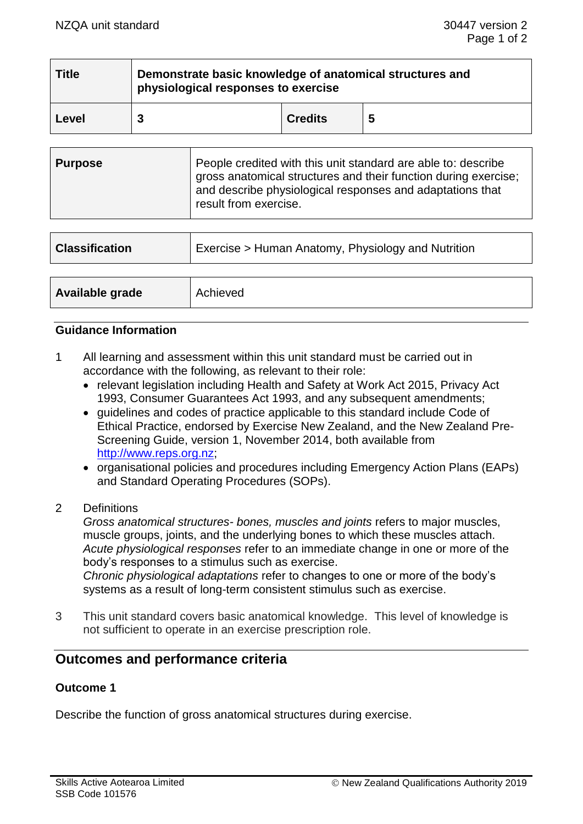| <b>Title</b> | Demonstrate basic knowledge of anatomical structures and<br>physiological responses to exercise |                |   |  |
|--------------|-------------------------------------------------------------------------------------------------|----------------|---|--|
| Level        |                                                                                                 | <b>Credits</b> | 5 |  |

| <b>Purpose</b> | People credited with this unit standard are able to: describe<br>gross anatomical structures and their function during exercise;<br>and describe physiological responses and adaptations that<br>result from exercise. |
|----------------|------------------------------------------------------------------------------------------------------------------------------------------------------------------------------------------------------------------------|
|----------------|------------------------------------------------------------------------------------------------------------------------------------------------------------------------------------------------------------------------|

| <b>Classification</b> | Exercise > Human Anatomy, Physiology and Nutrition |
|-----------------------|----------------------------------------------------|
|                       |                                                    |
| Available grade       | Achieved                                           |

### **Guidance Information**

- 1 All learning and assessment within this unit standard must be carried out in accordance with the following, as relevant to their role:
	- relevant legislation including Health and Safety at Work Act 2015, Privacy Act 1993, Consumer Guarantees Act 1993, and any subsequent amendments;
	- guidelines and codes of practice applicable to this standard include Code of Ethical Practice, endorsed by Exercise New Zealand, and the New Zealand Pre-Screening Guide, version 1, November 2014, both available from [http://www.reps.org.nz;](http://www.reps.org.nz/)
	- organisational policies and procedures including Emergency Action Plans (EAPs) and Standard Operating Procedures (SOPs).
- 2 Definitions

*Gross anatomical structures- bones, muscles and joints* refers to major muscles, muscle groups, joints, and the underlying bones to which these muscles attach. *Acute physiological responses* refer to an immediate change in one or more of the body's responses to a stimulus such as exercise. *Chronic physiological adaptations* refer to changes to one or more of the body's systems as a result of long-term consistent stimulus such as exercise.

3 This unit standard covers basic anatomical knowledge. This level of knowledge is not sufficient to operate in an exercise prescription role.

# **Outcomes and performance criteria**

## **Outcome 1**

Describe the function of gross anatomical structures during exercise.